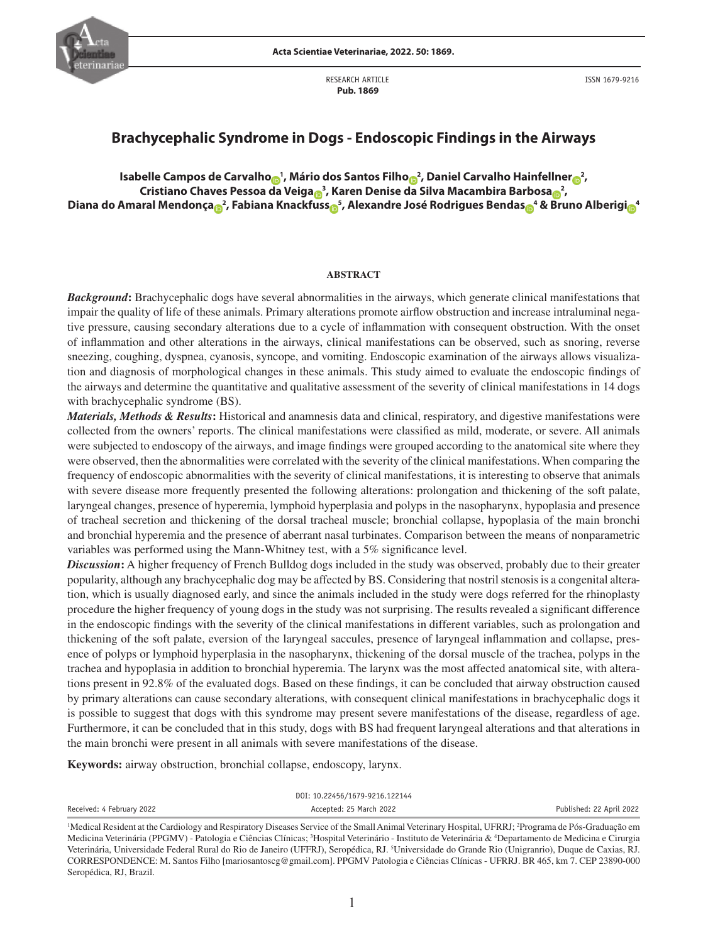

RESEARCH ARTICLE  **Pub. 1869**

ISSN 1679-9216

# **Brachycephalic Syndrome in Dogs - Endoscopic Findings in the Airways**

Isabelle Camp[o](http://orcid.org/0000-0003-4116-5461)s de Ca[r](http://orcid.org/0000-0002-3548-731X)valho<sub>o</sub><sup>1</sup>, Mário dos Santos Filho<sub>o</sub>2, Daniel Carvalho Hainfellner<sub>o</sub>2, **Cristiano Chaves Pessoa da Veiga <sup>3</sup> , Karen Denise [da S](http://orcid.org/0000-0003-0295-2200)ilva Macambira Barbosa <sup>2</sup> , Diana do Amaral Mendonç[a](http://orcid.org/0000-0002-2022-7072) <sup>2</sup> , Fabiana Knack[fus](http://orcid.org/0000-0002-2948-2651)[s](http://orcid.org/0000-0003-4560-1339) <sup>5</sup> , Alexandre José Rodrigues Benda[s](http://orcid.org/0000-0003-4320-9923) <sup>4</sup> & [Bru](https://orcid.org/0000-0003-0850-8848)no Alberig[i](https://orcid.org/0000-0002-5707-2203) <sup>4</sup>**

#### **ABSTRACT**

*Background***:** Brachycephalic dogs have several abnormalities in the airways, which generate clinical manifestations that impair the quality of life of these animals. Primary alterations promote airflow obstruction and increase intraluminal negative pressure, causing secondary alterations due to a cycle of inflammation with consequent obstruction. With the onset of inflammation and other alterations in the airways, clinical manifestations can be observed, such as snoring, reverse sneezing, coughing, dyspnea, cyanosis, syncope, and vomiting. Endoscopic examination of the airways allows visualization and diagnosis of morphological changes in these animals. This study aimed to evaluate the endoscopic findings of the airways and determine the quantitative and qualitative assessment of the severity of clinical manifestations in 14 dogs with brachycephalic syndrome (BS).

*Materials, Methods & Results***:** Historical and anamnesis data and clinical, respiratory, and digestive manifestations were collected from the owners' reports. The clinical manifestations were classified as mild, moderate, or severe. All animals were subjected to endoscopy of the airways, and image findings were grouped according to the anatomical site where they were observed, then the abnormalities were correlated with the severity of the clinical manifestations. When comparing the frequency of endoscopic abnormalities with the severity of clinical manifestations, it is interesting to observe that animals with severe disease more frequently presented the following alterations: prolongation and thickening of the soft palate, laryngeal changes, presence of hyperemia, lymphoid hyperplasia and polyps in the nasopharynx, hypoplasia and presence of tracheal secretion and thickening of the dorsal tracheal muscle; bronchial collapse, hypoplasia of the main bronchi and bronchial hyperemia and the presence of aberrant nasal turbinates. Comparison between the means of nonparametric variables was performed using the Mann-Whitney test, with a 5% significance level.

*Discussion***:** A higher frequency of French Bulldog dogs included in the study was observed, probably due to their greater popularity, although any brachycephalic dog may be affected by BS. Considering that nostril stenosis is a congenital alteration, which is usually diagnosed early, and since the animals included in the study were dogs referred for the rhinoplasty procedure the higher frequency of young dogs in the study was not surprising. The results revealed a significant difference in the endoscopic findings with the severity of the clinical manifestations in different variables, such as prolongation and thickening of the soft palate, eversion of the laryngeal saccules, presence of laryngeal inflammation and collapse, presence of polyps or lymphoid hyperplasia in the nasopharynx, thickening of the dorsal muscle of the trachea, polyps in the trachea and hypoplasia in addition to bronchial hyperemia. The larynx was the most affected anatomical site, with alterations present in 92.8% of the evaluated dogs. Based on these findings, it can be concluded that airway obstruction caused by primary alterations can cause secondary alterations, with consequent clinical manifestations in brachycephalic dogs it is possible to suggest that dogs with this syndrome may present severe manifestations of the disease, regardless of age. Furthermore, it can be concluded that in this study, dogs with BS had frequent laryngeal alterations and that alterations in the main bronchi were present in all animals with severe manifestations of the disease.

**Keywords:** airway obstruction, bronchial collapse, endoscopy, larynx.

| DOI: 10.22456/1679-9216.122144 |                         |                          |  |  |  |
|--------------------------------|-------------------------|--------------------------|--|--|--|
| Received: 4 February 2022      | Accepted: 25 March 2022 | Published: 22 April 2022 |  |  |  |
|                                |                         |                          |  |  |  |

<sup>&</sup>lt;sup>1</sup>Medical Resident at the Cardiology and Respiratory Diseases Service of the Small Animal Veterinary Hospital, UFRRJ; <sup>2</sup>Programa de Pós-Graduação em Medicina Veterinária (PPGMV) - Patologia e Ciências Clínicas; <sup>3</sup>Hospital Veterinário - Instituto de Veterinária & <sup>4</sup>Departamento de Medicina e Cirurgia Veterinária, Universidade Federal Rural do Rio de Janeiro (UFFRJ), Seropédica, RJ. <sup>5</sup>Universidade do Grande Rio (Unigranrio), Duque de Caxias, RJ. CORRESPONDENCE: M. Santos Filho [mariosantoscg@gmail.com]. PPGMV Patologia e Ciências Clínicas - UFRRJ. BR 465, km 7. CEP 23890-000 Seropédica, RJ, Brazil.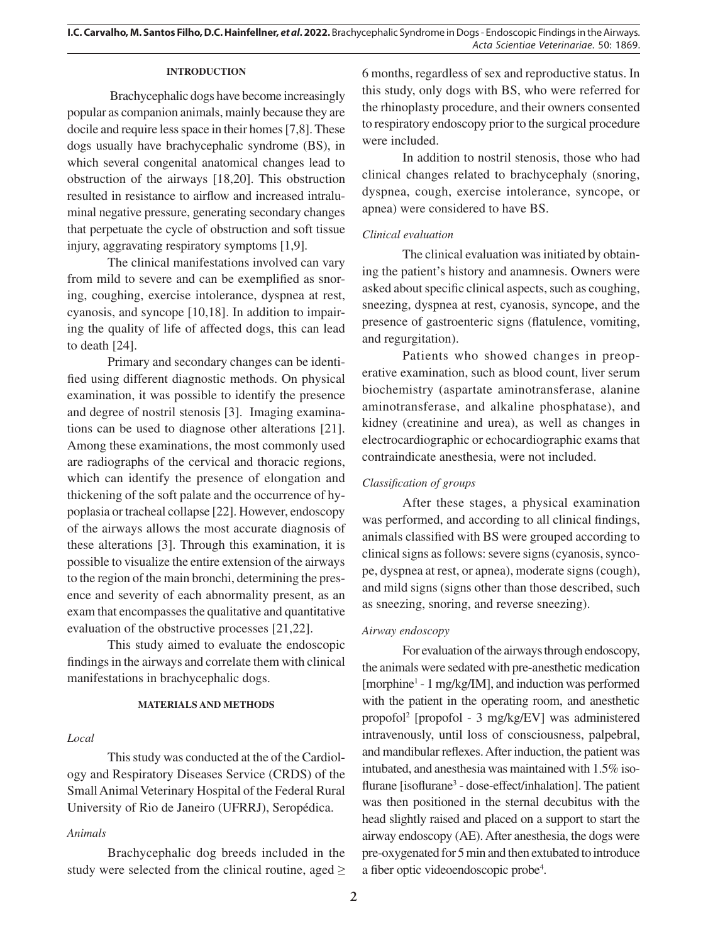## **INTRODUCTION**

Brachycephalic dogs have become increasingly popular as companion animals, mainly because they are docile and require less space in their homes [7,8]. These dogs usually have brachycephalic syndrome (BS), in which several congenital anatomical changes lead to obstruction of the airways [18,20]. This obstruction resulted in resistance to airflow and increased intraluminal negative pressure, generating secondary changes that perpetuate the cycle of obstruction and soft tissue injury, aggravating respiratory symptoms [1,9].

The clinical manifestations involved can vary from mild to severe and can be exemplified as snoring, coughing, exercise intolerance, dyspnea at rest, cyanosis, and syncope [10,18]. In addition to impairing the quality of life of affected dogs, this can lead to death [24].

Primary and secondary changes can be identified using different diagnostic methods. On physical examination, it was possible to identify the presence and degree of nostril stenosis [3]. Imaging examinations can be used to diagnose other alterations [21]. Among these examinations, the most commonly used are radiographs of the cervical and thoracic regions, which can identify the presence of elongation and thickening of the soft palate and the occurrence of hypoplasia or tracheal collapse [22]. However, endoscopy of the airways allows the most accurate diagnosis of these alterations [3]. Through this examination, it is possible to visualize the entire extension of the airways to the region of the main bronchi, determining the presence and severity of each abnormality present, as an exam that encompasses the qualitative and quantitative evaluation of the obstructive processes [21,22].

This study aimed to evaluate the endoscopic findings in the airways and correlate them with clinical manifestations in brachycephalic dogs.

## **MATERIALS AND METHODS**

#### *Local*

This study was conducted at the of the Cardiology and Respiratory Diseases Service (CRDS) of the Small Animal Veterinary Hospital of the Federal Rural University of Rio de Janeiro (UFRRJ), Seropédica.

#### *Animals*

Brachycephalic dog breeds included in the study were selected from the clinical routine, aged  $\geq$  6 months, regardless of sex and reproductive status. In this study, only dogs with BS, who were referred for the rhinoplasty procedure, and their owners consented to respiratory endoscopy prior to the surgical procedure were included.

In addition to nostril stenosis, those who had clinical changes related to brachycephaly (snoring, dyspnea, cough, exercise intolerance, syncope, or apnea) were considered to have BS.

## *Clinical evaluation*

The clinical evaluation was initiated by obtaining the patient's history and anamnesis. Owners were asked about specific clinical aspects, such as coughing, sneezing, dyspnea at rest, cyanosis, syncope, and the presence of gastroenteric signs (flatulence, vomiting, and regurgitation).

Patients who showed changes in preoperative examination, such as blood count, liver serum biochemistry (aspartate aminotransferase, alanine aminotransferase, and alkaline phosphatase), and kidney (creatinine and urea), as well as changes in electrocardiographic or echocardiographic exams that contraindicate anesthesia, were not included.

#### *Classification of groups*

After these stages, a physical examination was performed, and according to all clinical findings, animals classified with BS were grouped according to clinical signs as follows: severe signs (cyanosis, syncope, dyspnea at rest, or apnea), moderate signs (cough), and mild signs (signs other than those described, such as sneezing, snoring, and reverse sneezing).

#### *Airway endoscopy*

For evaluation of the airways through endoscopy, the animals were sedated with pre-anesthetic medication [morphine1 - 1 mg/kg/IM], and induction was performed with the patient in the operating room, and anesthetic propofol2 [propofol - 3 mg/kg/EV] was administered intravenously, until loss of consciousness, palpebral, and mandibular reflexes. After induction, the patient was intubated, and anesthesia was maintained with 1.5% isoflurane [isoflurane<sup>3</sup> - dose-effect/inhalation]. The patient was then positioned in the sternal decubitus with the head slightly raised and placed on a support to start the airway endoscopy (AE). After anesthesia, the dogs were pre-oxygenated for 5 min and then extubated to introduce a fiber optic videoendoscopic probe4 .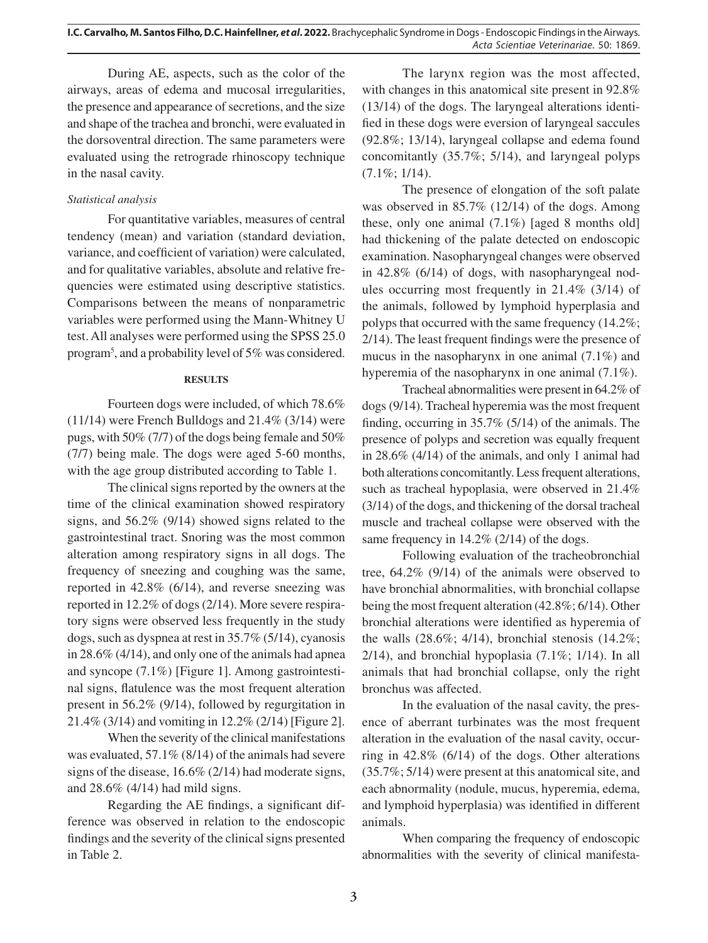During AE, aspects, such as the color of the airways, areas of edema and mucosal irregularities, the presence and appearance of secretions, and the size and shape of the trachea and bronchi, were evaluated in the dorsoventral direction. The same parameters were evaluated using the retrograde rhinoscopy technique in the nasal cavity.

# *Statistical analysis*

For quantitative variables, measures of central tendency (mean) and variation (standard deviation, variance, and coefficient of variation) were calculated, and for qualitative variables, absolute and relative frequencies were estimated using descriptive statistics. Comparisons between the means of nonparametric variables were performed using the Mann-Whitney U test. All analyses were performed using the SPSS 25.0 program<sup>5</sup>, and a probability level of 5% was considered.

## **RESULTS**

Fourteen dogs were included, of which 78.6% (11/14) were French Bulldogs and 21.4% (3/14) were pugs, with 50% (7/7) of the dogs being female and 50% (7/7) being male. The dogs were aged 5-60 months, with the age group distributed according to Table 1.

The clinical signs reported by the owners at the time of the clinical examination showed respiratory signs, and 56.2% (9/14) showed signs related to the gastrointestinal tract. Snoring was the most common alteration among respiratory signs in all dogs. The frequency of sneezing and coughing was the same, reported in 42.8% (6/14), and reverse sneezing was reported in 12.2% of dogs (2/14). More severe respiratory signs were observed less frequently in the study dogs, such as dyspnea at rest in 35.7% (5/14), cyanosis in 28.6% (4/14), and only one of the animals had apnea and syncope (7.1%) [Figure 1]. Among gastrointestinal signs, flatulence was the most frequent alteration present in 56.2% (9/14), followed by regurgitation in 21.4% (3/14) and vomiting in 12.2% (2/14) [Figure 2].

When the severity of the clinical manifestations was evaluated, 57.1% (8/14) of the animals had severe signs of the disease, 16.6% (2/14) had moderate signs, and 28.6% (4/14) had mild signs.

Regarding the AE findings, a significant difference was observed in relation to the endoscopic findings and the severity of the clinical signs presented in Table 2.

The larynx region was the most affected, with changes in this anatomical site present in 92.8% (13/14) of the dogs. The laryngeal alterations identified in these dogs were eversion of laryngeal saccules (92.8%; 13/14), laryngeal collapse and edema found concomitantly (35.7%; 5/14), and laryngeal polyps (7.1%; 1/14).

The presence of elongation of the soft palate was observed in 85.7% (12/14) of the dogs. Among these, only one animal (7.1%) [aged 8 months old] had thickening of the palate detected on endoscopic examination. Nasopharyngeal changes were observed in 42.8% (6/14) of dogs, with nasopharyngeal nodules occurring most frequently in 21.4% (3/14) of the animals, followed by lymphoid hyperplasia and polyps that occurred with the same frequency (14.2%; 2/14). The least frequent findings were the presence of mucus in the nasopharynx in one animal (7.1%) and hyperemia of the nasopharynx in one animal (7.1%).

Tracheal abnormalities were present in 64.2% of dogs (9/14). Tracheal hyperemia was the most frequent finding, occurring in 35.7% (5/14) of the animals. The presence of polyps and secretion was equally frequent in 28.6% (4/14) of the animals, and only 1 animal had both alterations concomitantly. Less frequent alterations, such as tracheal hypoplasia, were observed in 21.4% (3/14) of the dogs, and thickening of the dorsal tracheal muscle and tracheal collapse were observed with the same frequency in 14.2% (2/14) of the dogs.

Following evaluation of the tracheobronchial tree, 64.2% (9/14) of the animals were observed to have bronchial abnormalities, with bronchial collapse being the most frequent alteration (42.8%; 6/14). Other bronchial alterations were identified as hyperemia of the walls  $(28.6\%; 4/14)$ , bronchial stenosis  $(14.2\%;$  $2/14$ ), and bronchial hypoplasia  $(7.1\%; 1/14)$ . In all animals that had bronchial collapse, only the right bronchus was affected.

In the evaluation of the nasal cavity, the presence of aberrant turbinates was the most frequent alteration in the evaluation of the nasal cavity, occurring in 42.8% (6/14) of the dogs. Other alterations (35.7%; 5/14) were present at this anatomical site, and each abnormality (nodule, mucus, hyperemia, edema, and lymphoid hyperplasia) was identified in different animals.

When comparing the frequency of endoscopic abnormalities with the severity of clinical manifesta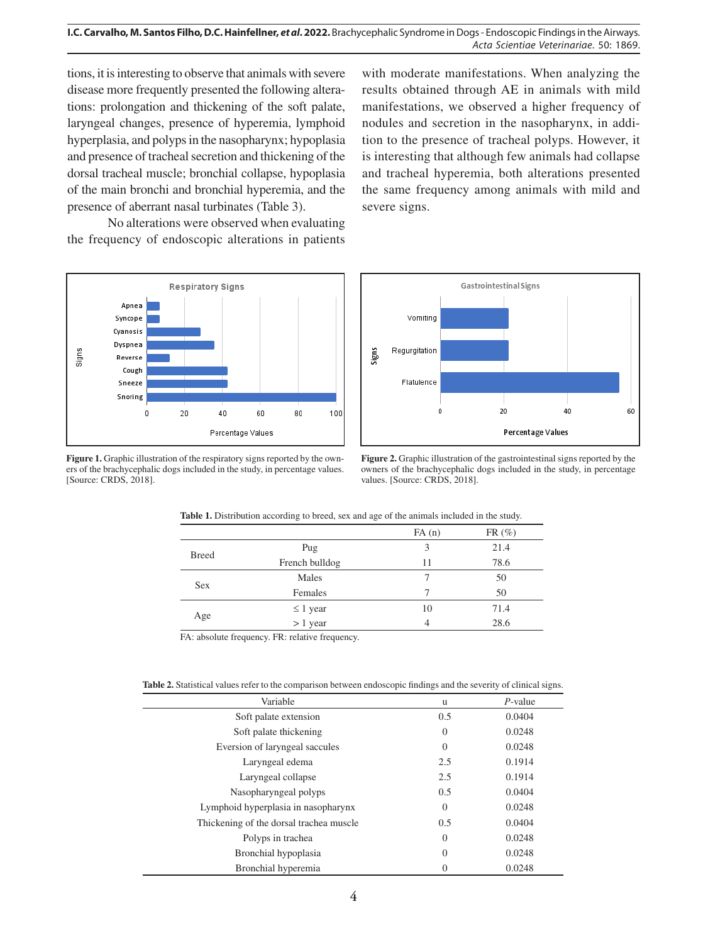tions, it is interesting to observe that animals with severe disease more frequently presented the following alterations: prolongation and thickening of the soft palate, laryngeal changes, presence of hyperemia, lymphoid hyperplasia, and polyps in the nasopharynx; hypoplasia and presence of tracheal secretion and thickening of the dorsal tracheal muscle; bronchial collapse, hypoplasia of the main bronchi and bronchial hyperemia, and the presence of aberrant nasal turbinates (Table 3).

No alterations were observed when evaluating the frequency of endoscopic alterations in patients



**Figure 1.** Graphic illustration of the respiratory signs reported by the owners of the brachycephalic dogs included in the study, in percentage values. [Source: CRDS, 2018].

with moderate manifestations. When analyzing the results obtained through AE in animals with mild manifestations, we observed a higher frequency of nodules and secretion in the nasopharynx, in addition to the presence of tracheal polyps. However, it is interesting that although few animals had collapse and tracheal hyperemia, both alterations presented the same frequency among animals with mild and severe signs.



**Figure 2.** Graphic illustration of the gastrointestinal signs reported by the owners of the brachycephalic dogs included in the study, in percentage values. [Source: CRDS, 2018].

| $FR(\%)$ |
|----------|
| 21.4     |
| 78.6     |
| 50       |
| 50       |
| 71.4     |
| 28.6     |
|          |

**Table 1.** Distribution according to breed, sex and age of the animals included in the study.

FA: absolute frequency. FR: relative frequency.

**Table 2.** Statistical values refer to the comparison between endoscopic findings and the severity of clinical signs.

| Variable                                | u        | $P$ -value |
|-----------------------------------------|----------|------------|
| Soft palate extension                   | 0.5      | 0.0404     |
| Soft palate thickening                  | $\Omega$ | 0.0248     |
| Eversion of laryngeal saccules          | $\Omega$ | 0.0248     |
| Laryngeal edema                         | 2.5      | 0.1914     |
| Laryngeal collapse                      | 2.5      | 0.1914     |
| Nasopharyngeal polyps                   | 0.5      | 0.0404     |
| Lymphoid hyperplasia in nasopharynx     | $\Omega$ | 0.0248     |
| Thickening of the dorsal trachea muscle | 0.5      | 0.0404     |
| Polyps in trachea                       | $\Omega$ | 0.0248     |
| Bronchial hypoplasia                    | $\Omega$ | 0.0248     |
| Bronchial hyperemia                     | 0        | 0.0248     |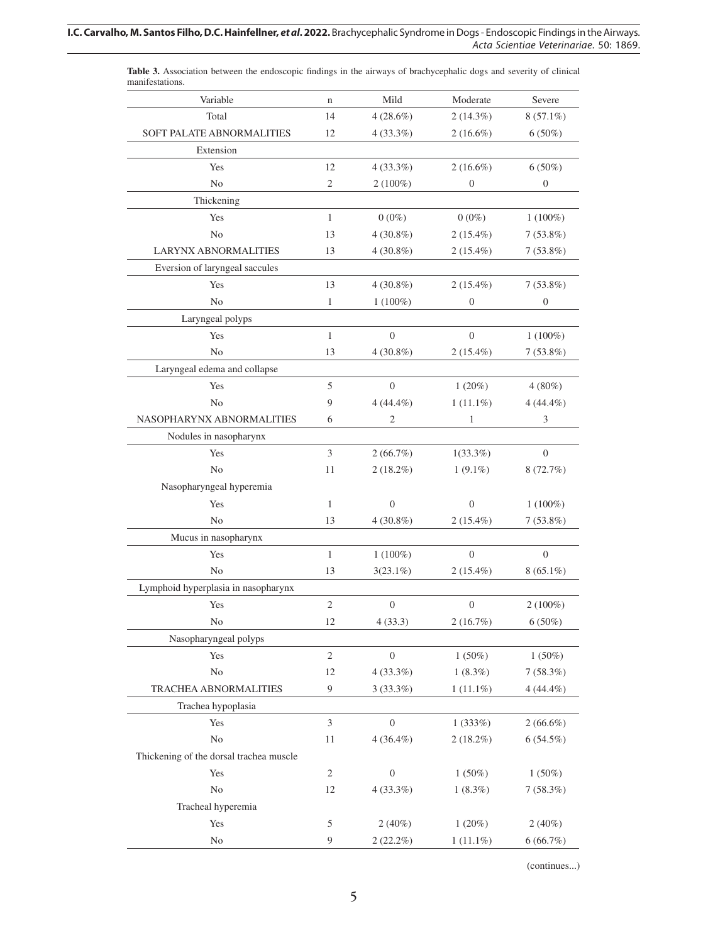| manifestations.                         |                |                  |                  |                |
|-----------------------------------------|----------------|------------------|------------------|----------------|
| Variable                                | $\mathbf n$    | Mild             | Moderate         | Severe         |
| Total                                   | 14             | $4(28.6\%)$      | $2(14.3\%)$      | $8(57.1\%)$    |
| SOFT PALATE ABNORMALITIES               | 12             | $4(33.3\%)$      | $2(16.6\%)$      | $6(50\%)$      |
| Extension                               |                |                  |                  |                |
| Yes                                     | 12             | 4(33.3%)         | $2(16.6\%)$      | $6(50\%)$      |
| N <sub>o</sub>                          | $\overline{2}$ | $2(100\%)$       | $\overline{0}$   | $\mathbf{0}$   |
| Thickening                              |                |                  |                  |                |
| Yes                                     | $\mathbf{1}$   | $0(0\%)$         | $0(0\%)$         | $1(100\%)$     |
| N <sub>o</sub>                          | 13             | $4(30.8\%)$      | $2(15.4\%)$      | $7(53.8\%)$    |
| <b>LARYNX ABNORMALITIES</b>             | 13             | $4(30.8\%)$      | $2(15.4\%)$      | $7(53.8\%)$    |
| Eversion of laryngeal saccules          |                |                  |                  |                |
| Yes                                     | 13             | $4(30.8\%)$      | $2(15.4\%)$      | $7(53.8\%)$    |
| No                                      | $\mathbf{1}$   | $1(100\%)$       | $\mathbf{0}$     | $\mathbf{0}$   |
| Laryngeal polyps                        |                |                  |                  |                |
| Yes                                     | $\mathbf{1}$   | $\boldsymbol{0}$ | $\boldsymbol{0}$ | $1(100\%)$     |
| N <sub>0</sub>                          | 13             | $4(30.8\%)$      | $2(15.4\%)$      | $7(53.8\%)$    |
| Laryngeal edema and collapse            |                |                  |                  |                |
| Yes                                     | 5              | $\theta$         | 1(20%)           | $4(80\%)$      |
| N <sub>0</sub>                          | 9              | $4(44.4\%)$      | $1(11.1\%)$      | $4(44.4\%)$    |
| NASOPHARYNX ABNORMALITIES               | 6              | $\mathfrak{2}$   | $\mathbf{1}$     | $\mathfrak{Z}$ |
| Nodules in nasopharynx                  |                |                  |                  |                |
| Yes                                     | 3              | 2(66.7%)         | $1(33.3\%)$      | $\theta$       |
| N <sub>o</sub>                          | 11             | $2(18.2\%)$      | $1(9.1\%)$       | 8(72.7%)       |
| Nasopharyngeal hyperemia                |                |                  |                  |                |
| Yes                                     | $\mathbf{1}$   | $\boldsymbol{0}$ | $\overline{0}$   | $1(100\%)$     |
| No                                      | 13             | $4(30.8\%)$      | $2(15.4\%)$      | $7(53.8\%)$    |
| Mucus in nasopharynx                    |                |                  |                  |                |
| Yes                                     | $\mathbf{1}$   | $1(100\%)$       | $\theta$         | $\theta$       |
| No                                      | 13             | $3(23.1\%)$      | $2(15.4\%)$      | $8(65.1\%)$    |
| Lymphoid hyperplasia in nasopharynx     |                |                  |                  |                |
| Yes                                     | $\sqrt{2}$     | $\boldsymbol{0}$ | $\boldsymbol{0}$ | $2(100\%)$     |
| No                                      | 12             | 4(33.3)          | 2(16.7%)         | $6(50\%)$      |
| Nasopharyngeal polyps                   |                |                  |                  |                |
| Yes                                     | $\sqrt{2}$     | $\boldsymbol{0}$ | $1(50\%)$        | $1(50\%)$      |
| No                                      | 12             | 4(33.3%)         | $1(8.3\%)$       | 7(58.3%)       |
| TRACHEA ABNORMALITIES                   | 9              | $3(33.3\%)$      | $1(11.1\%)$      | $4(44.4\%)$    |
| Trachea hypoplasia                      |                |                  |                  |                |
| Yes                                     | 3              | $\overline{0}$   | 1(333%)          | $2(66.6\%)$    |
| $\rm No$                                | 11             | $4(36.4\%)$      | $2(18.2\%)$      | $6(54.5\%)$    |
| Thickening of the dorsal trachea muscle |                |                  |                  |                |
| Yes                                     | $\sqrt{2}$     | $\boldsymbol{0}$ | $1(50\%)$        | $1(50\%)$      |
| $\rm No$                                | 12             | 4(33.3%)         | $1(8.3\%)$       | 7(58.3%)       |
| Tracheal hyperemia                      |                |                  |                  |                |
| Yes                                     | 5              | $2(40\%)$        | 1(20%)           | $2(40\%)$      |
| $\rm No$                                | 9              | $2(22.2\%)$      | $1(11.1\%)$      | 6(66.7%)       |
|                                         |                |                  |                  |                |

**Table 3.** Association between the endoscopic findings in the airways of brachycephalic dogs and severity of clinical

(continues...)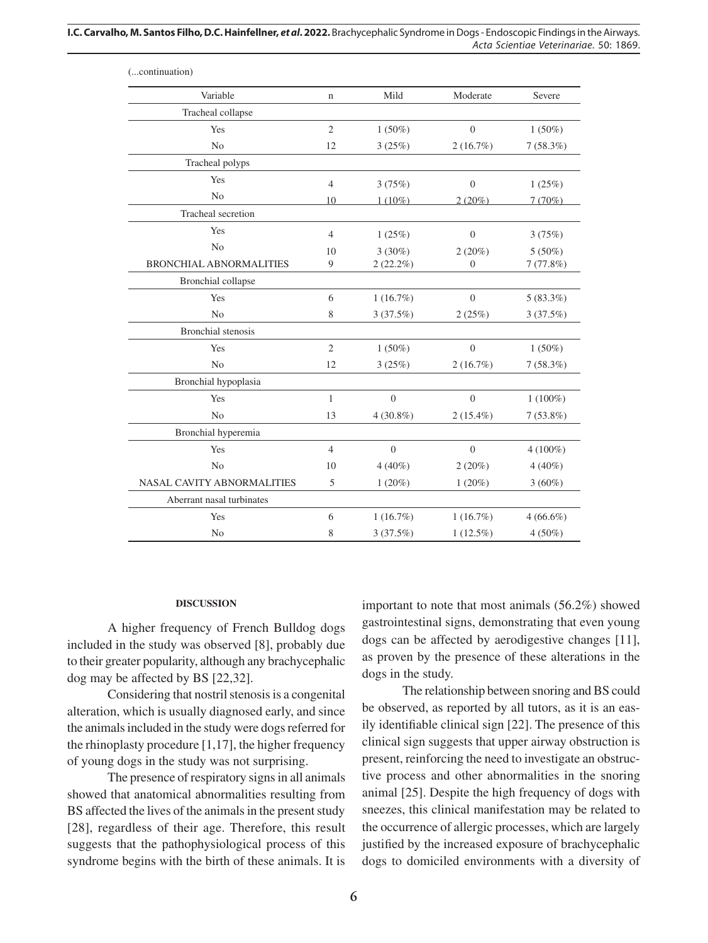**I.C. Carvalho, M. Santos Filho, D.C. Hainfellner,** *et al***. 2022.** Brachycephalic Syndrome in Dogs - Endoscopic Findings in the Airways. *Acta Scientiae Veterinariae*. 50: 1869.

| (continuation)                 |                |             |                  |             |
|--------------------------------|----------------|-------------|------------------|-------------|
| Variable                       | $\mathbf n$    | Mild        | Moderate         | Severe      |
| Tracheal collapse              |                |             |                  |             |
| Yes                            | $\overline{2}$ | $1(50\%)$   | $\overline{0}$   | $1(50\%)$   |
| N <sub>o</sub>                 | 12             | 3(25%)      | 2(16.7%)         | 7(58.3%)    |
| Tracheal polyps                |                |             |                  |             |
| Yes                            | $\overline{4}$ | 3(75%)      | $\boldsymbol{0}$ | 1(25%)      |
| N <sub>0</sub>                 | 10             | $1(10\%)$   | $2(20\%)$        | 7(70%)      |
| Tracheal secretion             |                |             |                  |             |
| Yes                            | $\overline{4}$ | 1(25%)      | $\theta$         | 3(75%)      |
| N <sub>o</sub>                 | 10             | $3(30\%)$   | 2(20%)           | $5(50\%)$   |
| <b>BRONCHIAL ABNORMALITIES</b> | 9              | $2(22.2\%)$ | $\theta$         | 7(77.8%)    |
| Bronchial collapse             |                |             |                  |             |
| Yes                            | 6              | 1(16.7%)    | $\overline{0}$   | $5(83.3\%)$ |
| N <sub>o</sub>                 | 8              | 3(37.5%)    | 2(25%)           | 3(37.5%)    |
| Bronchial stenosis             |                |             |                  |             |
| Yes                            | $\overline{2}$ | $1(50\%)$   | $\overline{0}$   | $1(50\%)$   |
| N <sub>o</sub>                 | 12             | 3(25%)      | 2(16.7%)         | 7(58.3%)    |
| Bronchial hypoplasia           |                |             |                  |             |
| Yes                            | $\mathbf{1}$   | $\theta$    | $\overline{0}$   | $1(100\%)$  |
| N <sub>o</sub>                 | 13             | $4(30.8\%)$ | $2(15.4\%)$      | $7(53.8\%)$ |
| Bronchial hyperemia            |                |             |                  |             |
| Yes                            | $\overline{4}$ | $\theta$    | $\overline{0}$   | $4(100\%)$  |
| N <sub>o</sub>                 | 10             | $4(40\%)$   | 2(20%)           | $4(40\%)$   |
| NASAL CAVITY ABNORMALITIES     | 5              | $1(20\%)$   | $1(20\%)$        | $3(60\%)$   |
| Aberrant nasal turbinates      |                |             |                  |             |
| Yes                            | 6              | 1(16.7%)    | 1(16.7%)         | $4(66.6\%)$ |
| N <sub>0</sub>                 | 8              | 3(37.5%)    | $1(12.5\%)$      | $4(50\%)$   |

#### **DISCUSSION**

A higher frequency of French Bulldog dogs included in the study was observed [8], probably due to their greater popularity, although any brachycephalic dog may be affected by BS [22,32].

Considering that nostril stenosis is a congenital alteration, which is usually diagnosed early, and since the animals included in the study were dogs referred for the rhinoplasty procedure [1,17], the higher frequency of young dogs in the study was not surprising.

The presence of respiratory signs in all animals showed that anatomical abnormalities resulting from BS affected the lives of the animals in the present study [28], regardless of their age. Therefore, this result suggests that the pathophysiological process of this syndrome begins with the birth of these animals. It is important to note that most animals (56.2%) showed gastrointestinal signs, demonstrating that even young dogs can be affected by aerodigestive changes [11], as proven by the presence of these alterations in the dogs in the study.

The relationship between snoring and BS could be observed, as reported by all tutors, as it is an easily identifiable clinical sign [22]. The presence of this clinical sign suggests that upper airway obstruction is present, reinforcing the need to investigate an obstructive process and other abnormalities in the snoring animal [25]. Despite the high frequency of dogs with sneezes, this clinical manifestation may be related to the occurrence of allergic processes, which are largely justified by the increased exposure of brachycephalic dogs to domiciled environments with a diversity of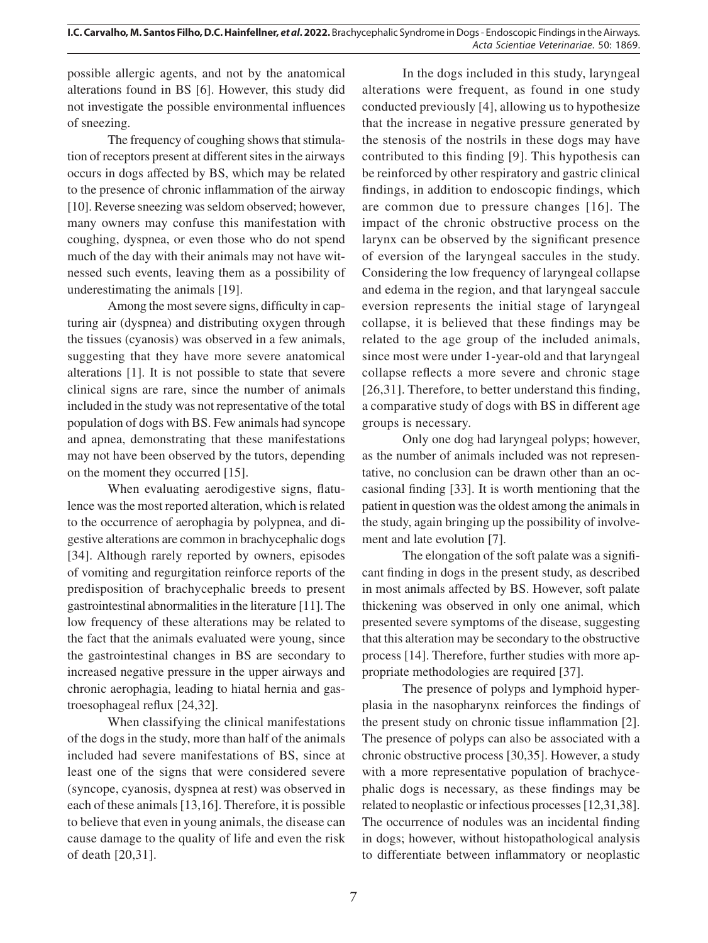possible allergic agents, and not by the anatomical alterations found in BS [6]. However, this study did not investigate the possible environmental influences of sneezing.

The frequency of coughing shows that stimulation of receptors present at different sites in the airways occurs in dogs affected by BS, which may be related to the presence of chronic inflammation of the airway [10]. Reverse sneezing was seldom observed; however, many owners may confuse this manifestation with coughing, dyspnea, or even those who do not spend much of the day with their animals may not have witnessed such events, leaving them as a possibility of underestimating the animals [19].

Among the most severe signs, difficulty in capturing air (dyspnea) and distributing oxygen through the tissues (cyanosis) was observed in a few animals, suggesting that they have more severe anatomical alterations [1]. It is not possible to state that severe clinical signs are rare, since the number of animals included in the study was not representative of the total population of dogs with BS. Few animals had syncope and apnea, demonstrating that these manifestations may not have been observed by the tutors, depending on the moment they occurred [15].

When evaluating aerodigestive signs, flatulence was the most reported alteration, which is related to the occurrence of aerophagia by polypnea, and digestive alterations are common in brachycephalic dogs [34]. Although rarely reported by owners, episodes of vomiting and regurgitation reinforce reports of the predisposition of brachycephalic breeds to present gastrointestinal abnormalities in the literature [11]. The low frequency of these alterations may be related to the fact that the animals evaluated were young, since the gastrointestinal changes in BS are secondary to increased negative pressure in the upper airways and chronic aerophagia, leading to hiatal hernia and gastroesophageal reflux [24,32].

When classifying the clinical manifestations of the dogs in the study, more than half of the animals included had severe manifestations of BS, since at least one of the signs that were considered severe (syncope, cyanosis, dyspnea at rest) was observed in each of these animals [13,16]. Therefore, it is possible to believe that even in young animals, the disease can cause damage to the quality of life and even the risk of death [20,31].

In the dogs included in this study, laryngeal alterations were frequent, as found in one study conducted previously [4], allowing us to hypothesize that the increase in negative pressure generated by the stenosis of the nostrils in these dogs may have contributed to this finding [9]. This hypothesis can be reinforced by other respiratory and gastric clinical findings, in addition to endoscopic findings, which are common due to pressure changes [16]. The impact of the chronic obstructive process on the larynx can be observed by the significant presence of eversion of the laryngeal saccules in the study. Considering the low frequency of laryngeal collapse and edema in the region, and that laryngeal saccule eversion represents the initial stage of laryngeal collapse, it is believed that these findings may be related to the age group of the included animals, since most were under 1-year-old and that laryngeal collapse reflects a more severe and chronic stage [26,31]. Therefore, to better understand this finding, a comparative study of dogs with BS in different age groups is necessary.

Only one dog had laryngeal polyps; however, as the number of animals included was not representative, no conclusion can be drawn other than an occasional finding [33]. It is worth mentioning that the patient in question was the oldest among the animals in the study, again bringing up the possibility of involvement and late evolution [7].

The elongation of the soft palate was a significant finding in dogs in the present study, as described in most animals affected by BS. However, soft palate thickening was observed in only one animal, which presented severe symptoms of the disease, suggesting that this alteration may be secondary to the obstructive process [14]. Therefore, further studies with more appropriate methodologies are required [37].

The presence of polyps and lymphoid hyperplasia in the nasopharynx reinforces the findings of the present study on chronic tissue inflammation [2]. The presence of polyps can also be associated with a chronic obstructive process [30,35]. However, a study with a more representative population of brachycephalic dogs is necessary, as these findings may be related to neoplastic or infectious processes [12,31,38]. The occurrence of nodules was an incidental finding in dogs; however, without histopathological analysis to differentiate between inflammatory or neoplastic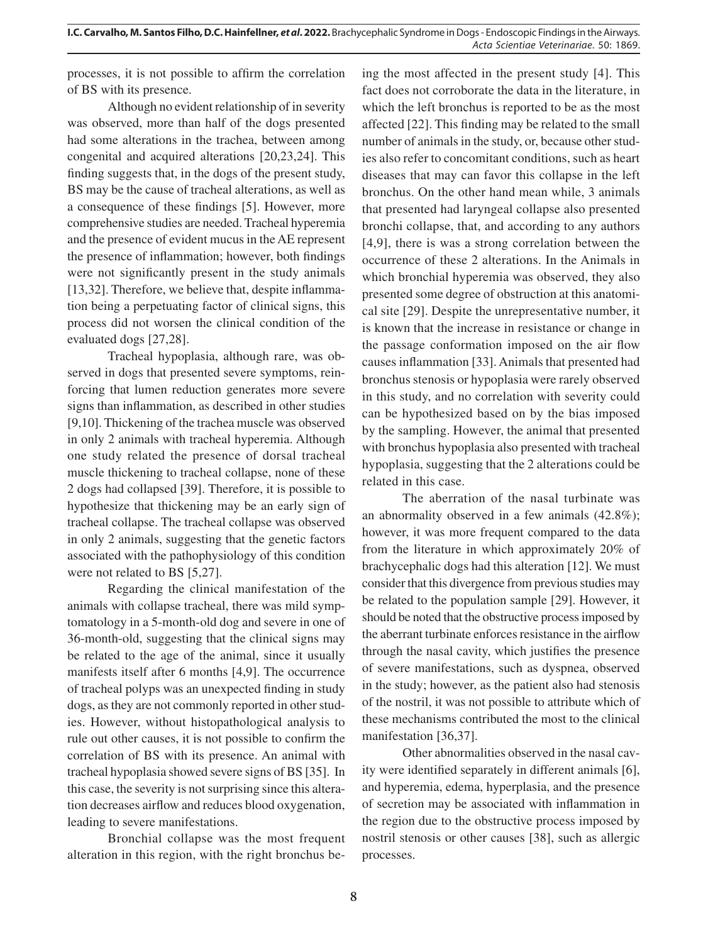processes, it is not possible to affirm the correlation of BS with its presence.

Although no evident relationship of in severity was observed, more than half of the dogs presented had some alterations in the trachea, between among congenital and acquired alterations [20,23,24]. This finding suggests that, in the dogs of the present study, BS may be the cause of tracheal alterations, as well as a consequence of these findings [5]. However, more comprehensive studies are needed. Tracheal hyperemia and the presence of evident mucus in the AE represent the presence of inflammation; however, both findings were not significantly present in the study animals [13,32]. Therefore, we believe that, despite inflammation being a perpetuating factor of clinical signs, this process did not worsen the clinical condition of the evaluated dogs [27,28].

Tracheal hypoplasia, although rare, was observed in dogs that presented severe symptoms, reinforcing that lumen reduction generates more severe signs than inflammation, as described in other studies [9,10]. Thickening of the trachea muscle was observed in only 2 animals with tracheal hyperemia. Although one study related the presence of dorsal tracheal muscle thickening to tracheal collapse, none of these 2 dogs had collapsed [39]. Therefore, it is possible to hypothesize that thickening may be an early sign of tracheal collapse. The tracheal collapse was observed in only 2 animals, suggesting that the genetic factors associated with the pathophysiology of this condition were not related to BS [5,27].

Regarding the clinical manifestation of the animals with collapse tracheal, there was mild symptomatology in a 5-month-old dog and severe in one of 36-month-old, suggesting that the clinical signs may be related to the age of the animal, since it usually manifests itself after 6 months [4,9]. The occurrence of tracheal polyps was an unexpected finding in study dogs, as they are not commonly reported in other studies. However, without histopathological analysis to rule out other causes, it is not possible to confirm the correlation of BS with its presence. An animal with tracheal hypoplasia showed severe signs of BS [35]. In this case, the severity is not surprising since this alteration decreases airflow and reduces blood oxygenation, leading to severe manifestations.

Bronchial collapse was the most frequent alteration in this region, with the right bronchus being the most affected in the present study [4]. This fact does not corroborate the data in the literature, in which the left bronchus is reported to be as the most affected [22]. This finding may be related to the small number of animals in the study, or, because other studies also refer to concomitant conditions, such as heart diseases that may can favor this collapse in the left bronchus. On the other hand mean while, 3 animals that presented had laryngeal collapse also presented bronchi collapse, that, and according to any authors [4,9], there is was a strong correlation between the occurrence of these 2 alterations. In the Animals in which bronchial hyperemia was observed, they also presented some degree of obstruction at this anatomical site [29]. Despite the unrepresentative number, it is known that the increase in resistance or change in the passage conformation imposed on the air flow causes inflammation [33]. Animals that presented had bronchus stenosis or hypoplasia were rarely observed in this study, and no correlation with severity could can be hypothesized based on by the bias imposed by the sampling. However, the animal that presented with bronchus hypoplasia also presented with tracheal hypoplasia, suggesting that the 2 alterations could be related in this case.

The aberration of the nasal turbinate was an abnormality observed in a few animals (42.8%); however, it was more frequent compared to the data from the literature in which approximately 20% of brachycephalic dogs had this alteration [12]. We must consider that this divergence from previous studies may be related to the population sample [29]. However, it should be noted that the obstructive process imposed by the aberrant turbinate enforces resistance in the airflow through the nasal cavity, which justifies the presence of severe manifestations, such as dyspnea, observed in the study; however, as the patient also had stenosis of the nostril, it was not possible to attribute which of these mechanisms contributed the most to the clinical manifestation [36,37].

Other abnormalities observed in the nasal cavity were identified separately in different animals [6], and hyperemia, edema, hyperplasia, and the presence of secretion may be associated with inflammation in the region due to the obstructive process imposed by nostril stenosis or other causes [38], such as allergic processes.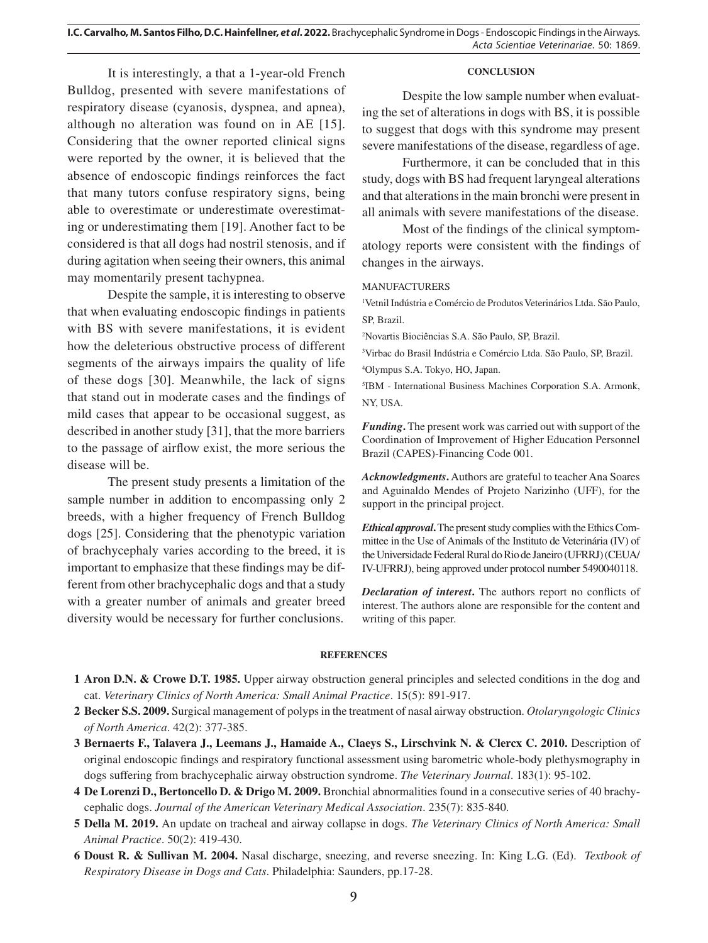**I.C. Carvalho, M. Santos Filho, D.C. Hainfellner,** *et al***. 2022.** Brachycephalic Syndrome in Dogs - Endoscopic Findings in the Airways. *Acta Scientiae Veterinariae*. 50: 1869.

It is interestingly, a that a 1-year-old French Bulldog, presented with severe manifestations of respiratory disease (cyanosis, dyspnea, and apnea), although no alteration was found on in AE [15]. Considering that the owner reported clinical signs were reported by the owner, it is believed that the absence of endoscopic findings reinforces the fact that many tutors confuse respiratory signs, being able to overestimate or underestimate overestimating or underestimating them [19]. Another fact to be considered is that all dogs had nostril stenosis, and if during agitation when seeing their owners, this animal may momentarily present tachypnea.

Despite the sample, it is interesting to observe that when evaluating endoscopic findings in patients with BS with severe manifestations, it is evident how the deleterious obstructive process of different segments of the airways impairs the quality of life of these dogs [30]. Meanwhile, the lack of signs that stand out in moderate cases and the findings of mild cases that appear to be occasional suggest, as described in another study [31], that the more barriers to the passage of airflow exist, the more serious the disease will be.

The present study presents a limitation of the sample number in addition to encompassing only 2 breeds, with a higher frequency of French Bulldog dogs [25]. Considering that the phenotypic variation of brachycephaly varies according to the breed, it is important to emphasize that these findings may be different from other brachycephalic dogs and that a study with a greater number of animals and greater breed diversity would be necessary for further conclusions.

#### **CONCLUSION**

Despite the low sample number when evaluating the set of alterations in dogs with BS, it is possible to suggest that dogs with this syndrome may present severe manifestations of the disease, regardless of age.

Furthermore, it can be concluded that in this study, dogs with BS had frequent laryngeal alterations and that alterations in the main bronchi were present in all animals with severe manifestations of the disease.

Most of the findings of the clinical symptomatology reports were consistent with the findings of changes in the airways.

## MANUFACTURERS

1 Vetnil Indústria e Comércio de Produtos Veterinários Ltda. São Paulo, SP, Brazil.

2 Novartis Biociências S.A. São Paulo, SP, Brazil.

3 Virbac do Brasil Indústria e Comércio Ltda. São Paulo, SP, Brazil.

4 Olympus S.A. Tokyo, HO, Japan.

5 IBM - International Business Machines Corporation S.A. Armonk, NY, USA.

*Funding***.** The present work was carried out with support of the Coordination of Improvement of Higher Education Personnel Brazil (CAPES)-Financing Code 001.

*Acknowledgments***.** Authors are grateful to teacher Ana Soares and Aguinaldo Mendes of Projeto Narizinho (UFF), for the support in the principal project.

*Ethical approval***.** The present study complies with the Ethics Committee in the Use of Animals of the Instituto de Veterinária (IV) of the Universidade Federal Rural do Rio de Janeiro (UFRRJ) (CEUA/ IV-UFRRJ), being approved under protocol number 5490040118.

*Declaration of interest***.** The authors report no conflicts of interest. The authors alone are responsible for the content and writing of this paper.

#### **REFERENCES**

- **2 Becker S.S. 2009.** Surgical management of polyps in the treatment of nasal airway obstruction. *Otolaryngologic Clinics of North America*. 42(2): 377-385.
- **3 Bernaerts F., Talavera J., Leemans J., Hamaide A., Claeys S., Lirschvink N. & Clercx C. 2010.** Description of original endoscopic findings and respiratory functional assessment using barometric whole-body plethysmography in dogs suffering from brachycephalic airway obstruction syndrome. *The Veterinary Journal*. 183(1): 95-102.
- **4 De Lorenzi D., Bertoncello D. & Drigo M. 2009.** Bronchial abnormalities found in a consecutive series of 40 brachycephalic dogs. *Journal of the American Veterinary Medical Association*. 235(7): 835-840.
- **5 Della M. 2019.** An update on tracheal and airway collapse in dogs. *The Veterinary Clinics of North America: Small Animal Practice*. 50(2): 419-430.
- **6 Doust R. & Sullivan M. 2004.** Nasal discharge, sneezing, and reverse sneezing. In: King L.G. (Ed). *Textbook of Respiratory Disease in Dogs and Cats*. Philadelphia: Saunders, pp.17-28.

**<sup>1</sup> Aron D.N. & Crowe D.T. 1985.** Upper airway obstruction general principles and selected conditions in the dog and cat. *Veterinary Clinics of North America: Small Animal Practice*. 15(5): 891-917.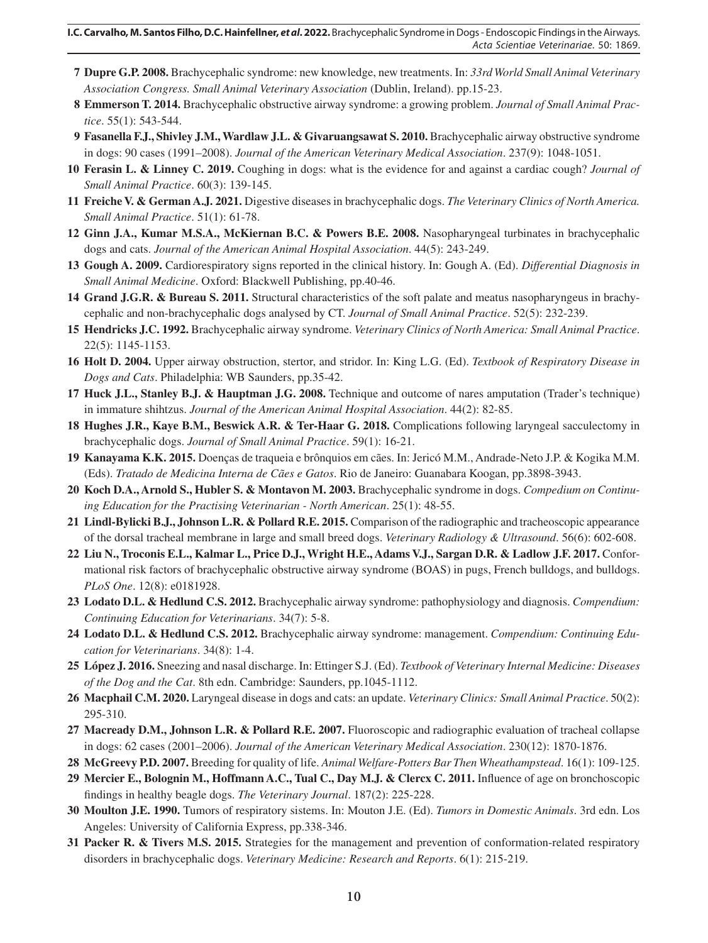- **7 Dupre G.P. 2008.** Brachycephalic syndrome: new knowledge, new treatments. In: *33rd World Small Animal Veterinary Association Congress. Small Animal Veterinary Association* (Dublin, Ireland). pp.15-23.
- **8 Emmerson T. 2014.** Brachycephalic obstructive airway syndrome: a growing problem. *Journal of Small Animal Practice*. 55(1): 543-544.
- **9 Fasanella F.J., Shivley J.M., Wardlaw J.L. & Givaruangsawat S. 2010.** Brachycephalic airway obstructive syndrome in dogs: 90 cases (1991–2008). *Journal of the American Veterinary Medical Association*. 237(9): 1048-1051.
- **10 Ferasin L. & Linney C. 2019.** Coughing in dogs: what is the evidence for and against a cardiac cough? *Journal of Small Animal Practice*. 60(3): 139-145.
- **11 Freiche V. & German A.J. 2021.** Digestive diseases in brachycephalic dogs. *The Veterinary Clinics of North America. Small Animal Practice*. 51(1): 61-78.
- **12 Ginn J.A., Kumar M.S.A., McKiernan B.C. & Powers B.E. 2008.** Nasopharyngeal turbinates in brachycephalic dogs and cats. *Journal of the American Animal Hospital Association*. 44(5): 243-249.
- **13 Gough A. 2009.** Cardiorespiratory signs reported in the clinical history. In: Gough A. (Ed). *Differential Diagnosis in Small Animal Medicine*. Oxford: Blackwell Publishing, pp.40-46.
- **14 Grand J.G.R. & Bureau S. 2011.** Structural characteristics of the soft palate and meatus nasopharyngeus in brachycephalic and non-brachycephalic dogs analysed by CT. *Journal of Small Animal Practice*. 52(5): 232-239.
- **15 Hendricks J.C. 1992.** Brachycephalic airway syndrome. *Veterinary Clinics of North America: Small Animal Practice*. 22(5): 1145-1153.
- **16 Holt D. 2004.** Upper airway obstruction, stertor, and stridor. In: King L.G. (Ed). *Textbook of Respiratory Disease in Dogs and Cats*. Philadelphia: WB Saunders, pp.35-42.
- **17 Huck J.L., Stanley B.J. & Hauptman J.G. 2008.** Technique and outcome of nares amputation (Trader's technique) in immature shihtzus. *Journal of the American Animal Hospital Association*. 44(2): 82-85.
- **18 Hughes J.R., Kaye B.M., Beswick A.R. & Ter-Haar G. 2018.** Complications following laryngeal sacculectomy in brachycephalic dogs. *Journal of Small Animal Practice*. 59(1): 16-21.
- **19 Kanayama K.K. 2015.** Doenças de traqueia e brônquios em cães. In: Jericó M.M., Andrade-Neto J.P. & Kogika M.M. (Eds). *Tratado de Medicina Interna de Cães e Gatos*. Rio de Janeiro: Guanabara Koogan, pp.3898-3943.
- **20 Koch D.A., Arnold S., Hubler S. & Montavon M. 2003.** Brachycephalic syndrome in dogs. *Compedium on Continuing Education for the Practising Veterinarian - North American*. 25(1): 48-55.
- **21 Lindl-Bylicki B.J., Johnson L.R. & Pollard R.E. 2015.** Comparison of the radiographic and tracheoscopic appearance of the dorsal tracheal membrane in large and small breed dogs. *Veterinary Radiology & Ultrasound*. 56(6): 602-608.
- **22 Liu N., Troconis E.L., Kalmar L., Price D.J., Wright H.E., Adams V.J., Sargan D.R. & Ladlow J.F. 2017.** Conformational risk factors of brachycephalic obstructive airway syndrome (BOAS) in pugs, French bulldogs, and bulldogs. *PLoS One*. 12(8): e0181928.
- **23 Lodato D.L. & Hedlund C.S. 2012.** Brachycephalic airway syndrome: pathophysiology and diagnosis. *Compendium: Continuing Education for Veterinarians*. 34(7): 5-8.
- **24 Lodato D.L. & Hedlund C.S. 2012.** Brachycephalic airway syndrome: management. *Compendium: Continuing Education for Veterinarians*. 34(8): 1-4.
- **25 López J. 2016.** Sneezing and nasal discharge. In: Ettinger S.J. (Ed). *Textbook of Veterinary Internal Medicine: Diseases of the Dog and the Cat*. 8th edn. Cambridge: Saunders, pp.1045-1112.
- **26 Macphail C.M. 2020.** Laryngeal disease in dogs and cats: an update. *Veterinary Clinics: Small Animal Practice*. 50(2): 295-310.
- **27 Macready D.M., Johnson L.R. & Pollard R.E. 2007.** Fluoroscopic and radiographic evaluation of tracheal collapse in dogs: 62 cases (2001–2006). *Journal of the American Veterinary Medical Association*. 230(12): 1870-1876.
- **28 McGreevy P.D. 2007.** Breeding for quality of life. *Animal Welfare-Potters Bar Then Wheathampstead*. 16(1): 109-125.
- **29 Mercier E., Bolognin M., Hoffmann A.C., Tual C., Day M.J. & Clercx C. 2011.** Influence of age on bronchoscopic findings in healthy beagle dogs. *The Veterinary Journal*. 187(2): 225-228.
- **30 Moulton J.E. 1990.** Tumors of respiratory sistems. In: Mouton J.E. (Ed). *Tumors in Domestic Animals*. 3rd edn. Los Angeles: University of California Express, pp.338-346.
- **31 Packer R. & Tivers M.S. 2015.** Strategies for the management and prevention of conformation-related respiratory disorders in brachycephalic dogs. *Veterinary Medicine: Research and Reports*. 6(1): 215-219.